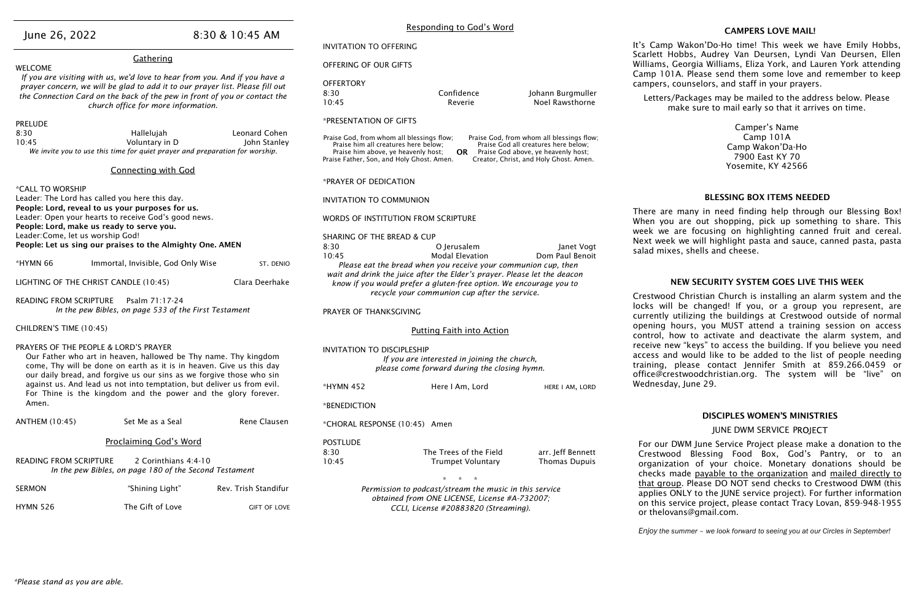|                                                                                                                                                                |                                                                                                                                                                                                                                                                                 |                      | Responding to God's Word                                                                                                                                                                                                                                                                                                                                 |                                                                                          |                                             |                                              |  |  |
|----------------------------------------------------------------------------------------------------------------------------------------------------------------|---------------------------------------------------------------------------------------------------------------------------------------------------------------------------------------------------------------------------------------------------------------------------------|----------------------|----------------------------------------------------------------------------------------------------------------------------------------------------------------------------------------------------------------------------------------------------------------------------------------------------------------------------------------------------------|------------------------------------------------------------------------------------------|---------------------------------------------|----------------------------------------------|--|--|
| June 26, 2022                                                                                                                                                  |                                                                                                                                                                                                                                                                                 | 8:30 & 10:45 AM      | <b>INVITATION TO OFFERING</b>                                                                                                                                                                                                                                                                                                                            |                                                                                          |                                             | It's Camp                                    |  |  |
| Gathering<br><b>WELCOME</b>                                                                                                                                    |                                                                                                                                                                                                                                                                                 |                      | OFFERING OF OUR GIFTS                                                                                                                                                                                                                                                                                                                                    |                                                                                          |                                             | Scarlett Ho<br>Williams, G                   |  |  |
|                                                                                                                                                                | If you are visiting with us, we'd love to hear from you. And if you have a<br>prayer concern, we will be glad to add it to our prayer list. Please fill out<br>the Connection Card on the back of the pew in front of you or contact the<br>church office for more information. |                      | <b>OFFERTORY</b><br>8:30<br>10:45                                                                                                                                                                                                                                                                                                                        | Confidence<br>Reverie                                                                    | Johann Burgmuller<br><b>Noel Rawsthorne</b> | Camp $101$<br>campers, co<br>Letters/F<br>ma |  |  |
| <b>PRELUDE</b>                                                                                                                                                 |                                                                                                                                                                                                                                                                                 |                      | *PRESENTATION OF GIFTS                                                                                                                                                                                                                                                                                                                                   |                                                                                          |                                             |                                              |  |  |
| 8:30<br>Leonard Cohen<br>Hallelujah<br>Voluntary in D<br>10:45<br>John Stanley<br>We invite you to use this time for quiet prayer and preparation for worship. |                                                                                                                                                                                                                                                                                 |                      | Praise God, from whom all blessings flow;<br>Praise God, from whom all blessings flow;<br>Praise him all creatures here below;<br>Praise God all creatures here below;<br>Praise him above, ye heavenly host;<br>Praise God above, ye heavenly host;<br><b>OR</b><br>Praise Father, Son, and Holy Ghost. Amen.<br>Creator, Christ, and Holy Ghost. Amen. |                                                                                          |                                             |                                              |  |  |
|                                                                                                                                                                | <b>Connecting with God</b>                                                                                                                                                                                                                                                      |                      |                                                                                                                                                                                                                                                                                                                                                          |                                                                                          |                                             |                                              |  |  |
| *CALL TO WORSHIP                                                                                                                                               |                                                                                                                                                                                                                                                                                 |                      | *PRAYER OF DEDICATION                                                                                                                                                                                                                                                                                                                                    |                                                                                          |                                             |                                              |  |  |
| Leader: The Lord has called you here this day.                                                                                                                 |                                                                                                                                                                                                                                                                                 |                      | <b>INVITATION TO COMMUNION</b>                                                                                                                                                                                                                                                                                                                           |                                                                                          |                                             |                                              |  |  |
| People: Lord, make us ready to serve you.                                                                                                                      | People: Lord, reveal to us your purposes for us.<br>Leader: Open your hearts to receive God's good news.                                                                                                                                                                        |                      | WORDS OF INSTITUTION FROM SCRIPTURE                                                                                                                                                                                                                                                                                                                      |                                                                                          | There are i<br>When you                     |                                              |  |  |
| Leader: Come, let us worship God!                                                                                                                              |                                                                                                                                                                                                                                                                                 |                      | <b>SHARING OF THE BREAD &amp; CUP</b>                                                                                                                                                                                                                                                                                                                    |                                                                                          |                                             | week we a<br>Next week                       |  |  |
|                                                                                                                                                                | People: Let us sing our praises to the Almighty One. AMEN                                                                                                                                                                                                                       |                      | 8:30                                                                                                                                                                                                                                                                                                                                                     | O Jerusalem                                                                              | Janet Vogt                                  | salad mixes                                  |  |  |
| *HYMN 66                                                                                                                                                       | Immortal, Invisible, God Only Wise                                                                                                                                                                                                                                              | ST. DENIO            | 10:45                                                                                                                                                                                                                                                                                                                                                    | <b>Modal Elevation</b><br>Please eat the bread when you receive your communion cup, then | Dom Paul Benoit                             |                                              |  |  |
| LIGHTING OF THE CHRIST CANDLE (10:45)                                                                                                                          |                                                                                                                                                                                                                                                                                 | Clara Deerhake       | wait and drink the juice after the Elder's prayer. Please let the deacon<br>know if you would prefer a gluten-free option. We encourage you to                                                                                                                                                                                                           |                                                                                          |                                             | <b>N</b>                                     |  |  |
| <b>READING FROM SCRIPTURE</b>                                                                                                                                  | Psalm 71:17-24                                                                                                                                                                                                                                                                  |                      |                                                                                                                                                                                                                                                                                                                                                          | recycle your communion cup after the service.                                            |                                             | Crestwood                                    |  |  |
|                                                                                                                                                                | In the pew Bibles, on page 533 of the First Testament                                                                                                                                                                                                                           |                      | PRAYER OF THANKSGIVING                                                                                                                                                                                                                                                                                                                                   |                                                                                          |                                             | locks will<br>currently ut                   |  |  |
| CHILDREN'S TIME (10:45)                                                                                                                                        |                                                                                                                                                                                                                                                                                 |                      | <b>Putting Faith into Action</b>                                                                                                                                                                                                                                                                                                                         |                                                                                          |                                             | opening ho<br>control, ho                    |  |  |
| PRAYERS OF THE PEOPLE & LORD'S PRAYER                                                                                                                          |                                                                                                                                                                                                                                                                                 |                      | <b>INVITATION TO DISCIPLESHIP</b>                                                                                                                                                                                                                                                                                                                        |                                                                                          |                                             | receive new                                  |  |  |
|                                                                                                                                                                | Our Father who art in heaven, hallowed be Thy name. Thy kingdom<br>come, Thy will be done on earth as it is in heaven. Give us this day<br>our daily bread, and forgive us our sins as we forgive those who sin                                                                 |                      | If you are interested in joining the church,<br>please come forward during the closing hymn.                                                                                                                                                                                                                                                             |                                                                                          |                                             | access and<br>training, p<br>office@cres     |  |  |
|                                                                                                                                                                | against us. And lead us not into temptation, but deliver us from evil.<br>For Thine is the kingdom and the power and the glory forever.                                                                                                                                         |                      | *HYMN 452                                                                                                                                                                                                                                                                                                                                                | Here I Am, Lord                                                                          | HERE I AM, LORD                             | Wednesday                                    |  |  |
| Amen.                                                                                                                                                          |                                                                                                                                                                                                                                                                                 |                      | *BENEDICTION                                                                                                                                                                                                                                                                                                                                             |                                                                                          |                                             |                                              |  |  |
| <b>ANTHEM (10:45)</b>                                                                                                                                          | Set Me as a Seal                                                                                                                                                                                                                                                                | Rene Clausen         | *CHORAL RESPONSE (10:45) Amen                                                                                                                                                                                                                                                                                                                            |                                                                                          |                                             |                                              |  |  |
|                                                                                                                                                                | <b>Proclaiming God's Word</b>                                                                                                                                                                                                                                                   |                      | <b>POSTLUDE</b>                                                                                                                                                                                                                                                                                                                                          |                                                                                          |                                             | For our D                                    |  |  |
|                                                                                                                                                                |                                                                                                                                                                                                                                                                                 |                      | 8:30                                                                                                                                                                                                                                                                                                                                                     | The Trees of the Field                                                                   | arr. Jeff Bennett                           | Crestwood                                    |  |  |
| 2 Corinthians 4:4-10<br><b>READING FROM SCRIPTURE</b><br>In the pew Bibles, on page 180 of the Second Testament                                                |                                                                                                                                                                                                                                                                                 |                      | 10:45                                                                                                                                                                                                                                                                                                                                                    | <b>Trumpet Voluntary</b>                                                                 | <b>Thomas Dupuis</b>                        | organizati<br>checks ma                      |  |  |
| <b>SERMON</b>                                                                                                                                                  | "Shining Light"                                                                                                                                                                                                                                                                 | Rev. Trish Standifur |                                                                                                                                                                                                                                                                                                                                                          | Permission to podcast/stream the music in this service                                   |                                             | <u>that group</u><br>applies ON              |  |  |
| <b>HYMN 526</b>                                                                                                                                                | The Gift of Love                                                                                                                                                                                                                                                                | <b>GIFT OF LOVE</b>  | obtained from ONE LICENSE, License #A-732007;<br>CCLI, License #20883820 (Streaming).                                                                                                                                                                                                                                                                    |                                                                                          |                                             | on this ser<br>or thelova                    |  |  |

#### CAMPERS LOVE MAIL!

Wakon'Do-Ho time! This week we have Emily Hobbs, bbbs, Audrey Van Deursen, Lyndi Van Deursen, Ellen eorgia Williams, Eliza York, and Lauren York attending A. Please send them some love and remember to keep ounselors, and staff in your prayers.

Packages may be mailed to the address below. Please ake sure to mail early so that it arrives on time.

> Camper's Name Camp 101A Camp Wakon'Da-Ho 7900 East KY 70 Yosemite, KY 42566

#### BLESSING BOX ITEMS NEEDED

many in need finding help through our Blessing Box! are out shopping, pick up something to share. This Ire focusing on highlighting canned fruit and cereal. we will highlight pasta and sauce, canned pasta, pasta s, shells and cheese.

#### EW SECURITY SYSTEM GOES LIVE THIS WEEK

Christian Church is installing an alarm system and the be changed! If you, or a group you represent, are itilizing the buildings at Crestwood outside of normal ours, you MUST attend a training session on access ow to activate and deactivate the alarm system, and v "keys" to access the building. If you believe you need would like to be added to the list of people needing  $b$ lease contact lennifer Smith at 859.266.0459 or stwoodchristian.org. The system will be "live" on  $J$ une 29.

#### DISCIPLES WOMEN'S MINISTRIES

JUNE DWM SERVICE PROJECT

WM June Service Project please make a donation to the d Blessing Food Box, God's Pantry, or to an ion of your choice. Monetary donations should be ade payable to the organization and mailed directly to p. Please DO NOT send checks to Crestwood DWM (this NLY to the JUNE service project). For further information rvice project, please contact Tracy Lovan, 859-948-1955 uns@gmail.com.

*Enjoy the summer – we look forward to seeing you at our Circles in September!*